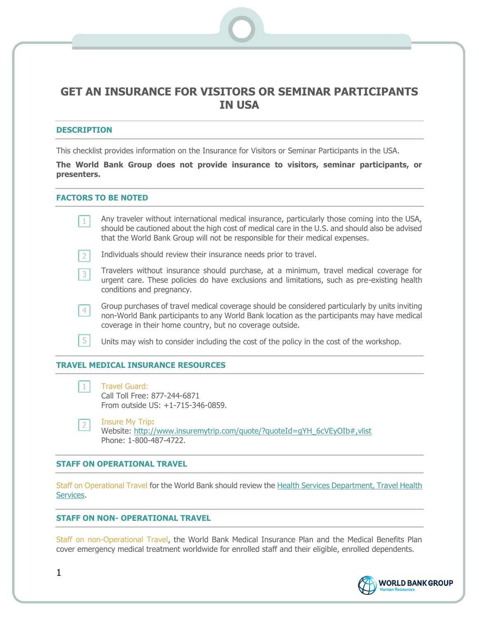# **GET AN INSURANCE FOR VISITORS OR SEMINAR PARTICIPANTS IN USA**

## **DESCRIPTION**

This checklist provides information on the Insurance for Visitors or Seminar Participants in the USA.

**The World Bank Group does not provide insurance to visitors, seminar participants, or presenters.**

## **FACTORS TO BE NOTED**

Any traveler without international medical insurance, particularly those coming into the USA,  $1$ should be cautioned about the high cost of medical care in the U.S. and should also be advised that the World Bank Group will not be responsible for their medical expenses.

- Individuals should review their insurance needs prior to travel.  $\overline{2}$
- Travelers without insurance should purchase, at a minimum, travel medical coverage for  $3<sup>1</sup>$ urgent care. These policies do have exclusions and limitations, such as pre-existing health conditions and pregnancy.
- Group purchases of travel medical coverage should be considered particularly by units inviting  $4<sup>1</sup>$ non-World Bank participants to any World Bank location as the participants may have medical coverage in their home country, but no coverage outside.
- 5 Units may wish to consider including the cost of the policy in the cost of the workshop.

### **TRAVEL MEDICAL INSURANCE RESOURCES**

 $1$ Travel Guard: Call Toll Free: 877-244-6871 From outside US: +1-715-346-0859.

Insure My Trip**:**  $2<sup>1</sup>$ Website: http://www.insuremytrip.com/quote/?quoteId=qYH\_6cVEyOIb#,vlist Phone: 1-800-487-4722.

#### **STAFF ON OPERATIONAL TRAVEL**

Staff on Operational Travel for the World Bank should review the [Health Services Department, Travel Health](http://intranet.worldbank.org/WBSITE/INTRANET/UNITS/INTHSDEP/0,,contentMDK:20800962~enableDHL:TRUE~menuPK:51191273~pagePK:51191467~piPK:51191087~theSitePK:1148856,00.html)  [Services.](http://intranet.worldbank.org/WBSITE/INTRANET/UNITS/INTHSDEP/0,,contentMDK:20800962~enableDHL:TRUE~menuPK:51191273~pagePK:51191467~piPK:51191087~theSitePK:1148856,00.html)

## **STAFF ON NON- OPERATIONAL TRAVEL**

Staff on non-Operational Travel, the World Bank Medical Insurance Plan and the Medical Benefits Plan cover emergency medical treatment worldwide for enrolled staff and their eligible, enrolled dependents.



1